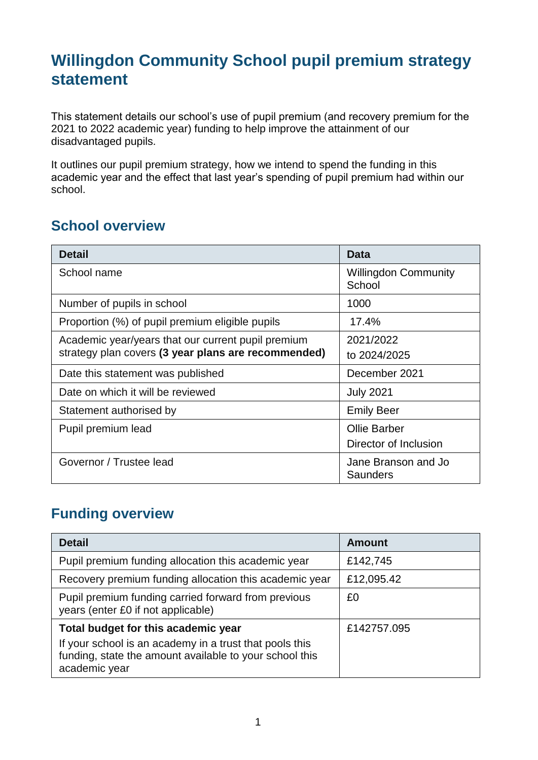## **Willingdon Community School pupil premium strategy statement**

This statement details our school's use of pupil premium (and recovery premium for the 2021 to 2022 academic year) funding to help improve the attainment of our disadvantaged pupils.

It outlines our pupil premium strategy, how we intend to spend the funding in this academic year and the effect that last year's spending of pupil premium had within our school.

#### **School overview**

| Detail                                              | <b>Data</b>                            |
|-----------------------------------------------------|----------------------------------------|
| School name                                         | <b>Willingdon Community</b><br>School  |
| Number of pupils in school                          | 1000                                   |
| Proportion (%) of pupil premium eligible pupils     | 17.4%                                  |
| Academic year/years that our current pupil premium  | 2021/2022                              |
| strategy plan covers (3 year plans are recommended) | to 2024/2025                           |
| Date this statement was published                   | December 2021                          |
| Date on which it will be reviewed                   | <b>July 2021</b>                       |
| Statement authorised by                             | <b>Emily Beer</b>                      |
| Pupil premium lead                                  | <b>Ollie Barber</b>                    |
|                                                     | Director of Inclusion                  |
| Governor / Trustee lead                             | Jane Branson and Jo<br><b>Saunders</b> |

#### **Funding overview**

| <b>Detail</b>                                                                                                                                                              | <b>Amount</b> |
|----------------------------------------------------------------------------------------------------------------------------------------------------------------------------|---------------|
| Pupil premium funding allocation this academic year                                                                                                                        | £142,745      |
| Recovery premium funding allocation this academic year                                                                                                                     | £12,095.42    |
| Pupil premium funding carried forward from previous<br>years (enter £0 if not applicable)                                                                                  | £0            |
| Total budget for this academic year<br>If your school is an academy in a trust that pools this<br>funding, state the amount available to your school this<br>academic year | £142757.095   |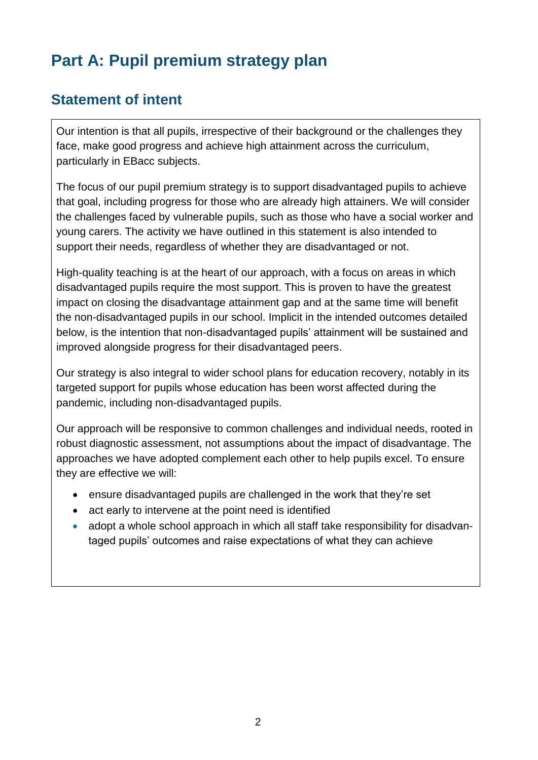# **Part A: Pupil premium strategy plan**

#### **Statement of intent**

Our intention is that all pupils, irrespective of their background or the challenges they face, make good progress and achieve high attainment across the curriculum, particularly in EBacc subjects.

The focus of our pupil premium strategy is to support disadvantaged pupils to achieve that goal, including progress for those who are already high attainers. We will consider the challenges faced by vulnerable pupils, such as those who have a social worker and young carers. The activity we have outlined in this statement is also intended to support their needs, regardless of whether they are disadvantaged or not.

High-quality teaching is at the heart of our approach, with a focus on areas in which disadvantaged pupils require the most support. This is proven to have the greatest impact on closing the disadvantage attainment gap and at the same time will benefit the non-disadvantaged pupils in our school. Implicit in the intended outcomes detailed below, is the intention that non-disadvantaged pupils' attainment will be sustained and improved alongside progress for their disadvantaged peers.

Our strategy is also integral to wider school plans for education recovery, notably in its targeted support for pupils whose education has been worst affected during the pandemic, including non-disadvantaged pupils.

Our approach will be responsive to common challenges and individual needs, rooted in robust diagnostic assessment, not assumptions about the impact of disadvantage. The approaches we have adopted complement each other to help pupils excel. To ensure they are effective we will:

- ensure disadvantaged pupils are challenged in the work that they're set
- act early to intervene at the point need is identified
- adopt a whole school approach in which all staff take responsibility for disadvantaged pupils' outcomes and raise expectations of what they can achieve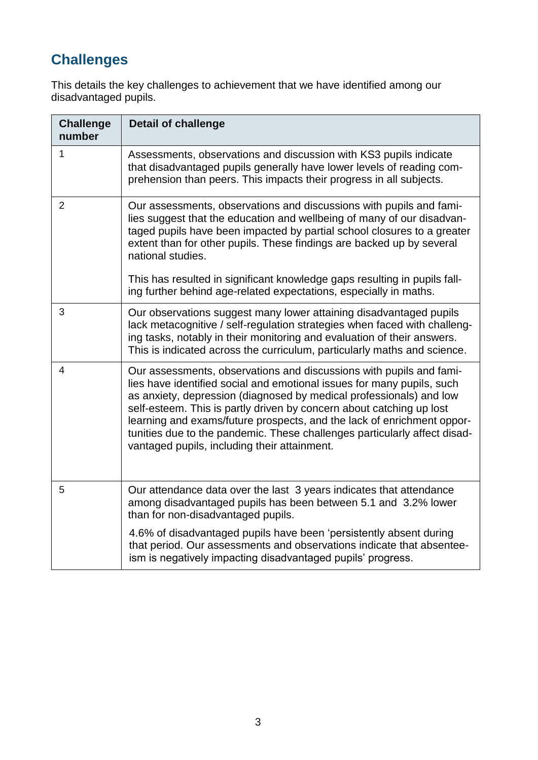# **Challenges**

This details the key challenges to achievement that we have identified among our disadvantaged pupils.

| <b>Challenge</b><br>number | <b>Detail of challenge</b>                                                                                                                                                                                                                                                                                                                                                                                                                                                                          |
|----------------------------|-----------------------------------------------------------------------------------------------------------------------------------------------------------------------------------------------------------------------------------------------------------------------------------------------------------------------------------------------------------------------------------------------------------------------------------------------------------------------------------------------------|
| 1                          | Assessments, observations and discussion with KS3 pupils indicate<br>that disadvantaged pupils generally have lower levels of reading com-<br>prehension than peers. This impacts their progress in all subjects.                                                                                                                                                                                                                                                                                   |
| $\overline{2}$             | Our assessments, observations and discussions with pupils and fami-<br>lies suggest that the education and wellbeing of many of our disadvan-<br>taged pupils have been impacted by partial school closures to a greater<br>extent than for other pupils. These findings are backed up by several<br>national studies.<br>This has resulted in significant knowledge gaps resulting in pupils fall-                                                                                                 |
|                            | ing further behind age-related expectations, especially in maths.                                                                                                                                                                                                                                                                                                                                                                                                                                   |
| 3                          | Our observations suggest many lower attaining disadvantaged pupils<br>lack metacognitive / self-regulation strategies when faced with challeng-<br>ing tasks, notably in their monitoring and evaluation of their answers.<br>This is indicated across the curriculum, particularly maths and science.                                                                                                                                                                                              |
| 4                          | Our assessments, observations and discussions with pupils and fami-<br>lies have identified social and emotional issues for many pupils, such<br>as anxiety, depression (diagnosed by medical professionals) and low<br>self-esteem. This is partly driven by concern about catching up lost<br>learning and exams/future prospects, and the lack of enrichment oppor-<br>tunities due to the pandemic. These challenges particularly affect disad-<br>vantaged pupils, including their attainment. |
| 5                          | Our attendance data over the last 3 years indicates that attendance<br>among disadvantaged pupils has been between 5.1 and 3.2% lower<br>than for non-disadvantaged pupils.                                                                                                                                                                                                                                                                                                                         |
|                            | 4.6% of disadvantaged pupils have been 'persistently absent during<br>that period. Our assessments and observations indicate that absentee-<br>ism is negatively impacting disadvantaged pupils' progress.                                                                                                                                                                                                                                                                                          |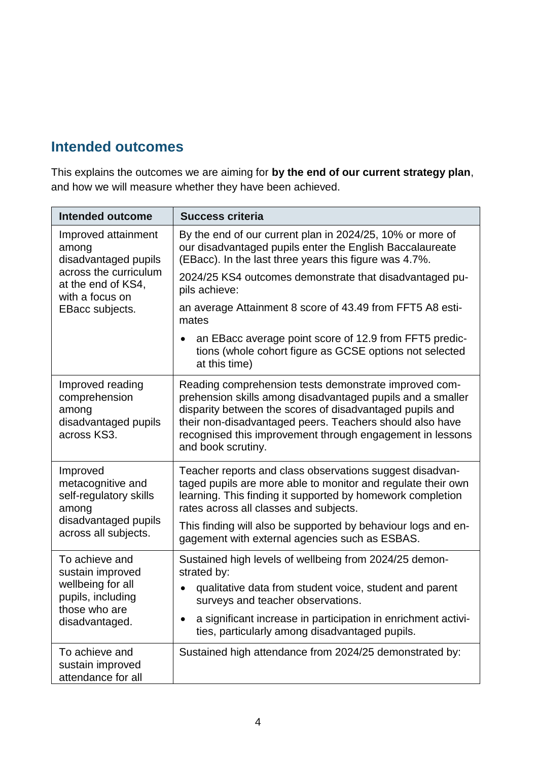### **Intended outcomes**

This explains the outcomes we are aiming for **by the end of our current strategy plan**, and how we will measure whether they have been achieved.

| <b>Intended outcome</b>                                                           | <b>Success criteria</b>                                                                                                                                                                                                                                                                                                        |
|-----------------------------------------------------------------------------------|--------------------------------------------------------------------------------------------------------------------------------------------------------------------------------------------------------------------------------------------------------------------------------------------------------------------------------|
| Improved attainment<br>among<br>disadvantaged pupils                              | By the end of our current plan in 2024/25, 10% or more of<br>our disadvantaged pupils enter the English Baccalaureate<br>(EBacc). In the last three years this figure was 4.7%.                                                                                                                                                |
| across the curriculum<br>at the end of KS4,<br>with a focus on                    | 2024/25 KS4 outcomes demonstrate that disadvantaged pu-<br>pils achieve:                                                                                                                                                                                                                                                       |
| EBacc subjects.                                                                   | an average Attainment 8 score of 43.49 from FFT5 A8 esti-<br>mates                                                                                                                                                                                                                                                             |
|                                                                                   | an EBacc average point score of 12.9 from FFT5 predic-<br>tions (whole cohort figure as GCSE options not selected<br>at this time)                                                                                                                                                                                             |
| Improved reading<br>comprehension<br>among<br>disadvantaged pupils<br>across KS3. | Reading comprehension tests demonstrate improved com-<br>prehension skills among disadvantaged pupils and a smaller<br>disparity between the scores of disadvantaged pupils and<br>their non-disadvantaged peers. Teachers should also have<br>recognised this improvement through engagement in lessons<br>and book scrutiny. |
| Improved<br>metacognitive and<br>self-regulatory skills<br>among                  | Teacher reports and class observations suggest disadvan-<br>taged pupils are more able to monitor and regulate their own<br>learning. This finding it supported by homework completion<br>rates across all classes and subjects.                                                                                               |
| disadvantaged pupils<br>across all subjects.                                      | This finding will also be supported by behaviour logs and en-<br>gagement with external agencies such as ESBAS.                                                                                                                                                                                                                |
| To achieve and<br>sustain improved                                                | Sustained high levels of wellbeing from 2024/25 demon-<br>strated by:                                                                                                                                                                                                                                                          |
| wellbeing for all<br>pupils, including<br>those who are                           | qualitative data from student voice, student and parent<br>surveys and teacher observations.                                                                                                                                                                                                                                   |
| disadvantaged.                                                                    | a significant increase in participation in enrichment activi-<br>ties, particularly among disadvantaged pupils.                                                                                                                                                                                                                |
| To achieve and<br>sustain improved<br>attendance for all                          | Sustained high attendance from 2024/25 demonstrated by:                                                                                                                                                                                                                                                                        |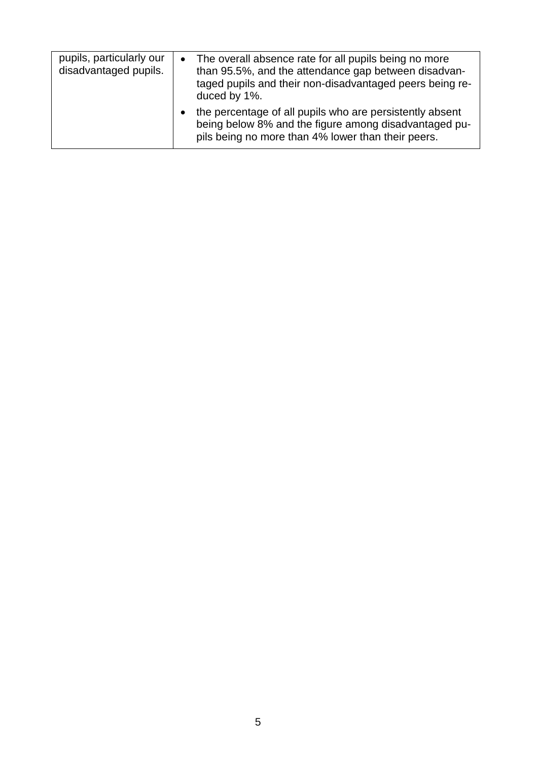| pupils, particularly our<br>disadvantaged pupils. | The overall absence rate for all pupils being no more<br>than 95.5%, and the attendance gap between disadvan-<br>taged pupils and their non-disadvantaged peers being re-<br>duced by 1%. |
|---------------------------------------------------|-------------------------------------------------------------------------------------------------------------------------------------------------------------------------------------------|
|                                                   | the percentage of all pupils who are persistently absent<br>being below 8% and the figure among disadvantaged pu-<br>pils being no more than 4% lower than their peers.                   |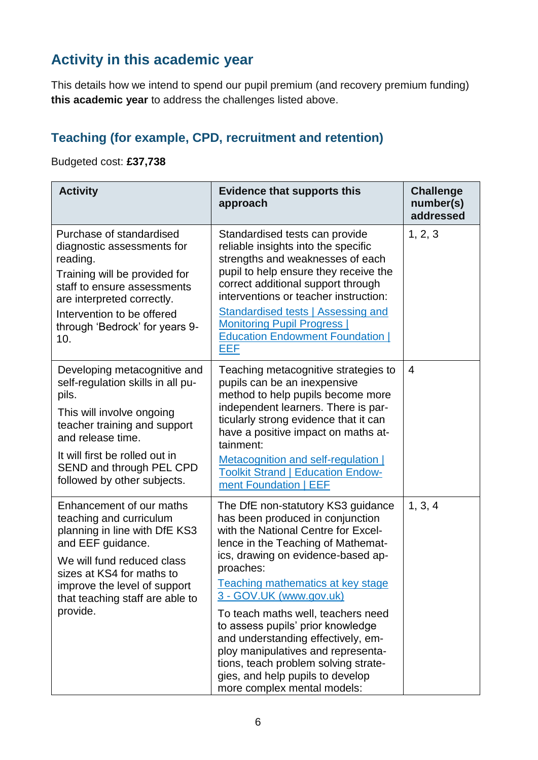### **Activity in this academic year**

This details how we intend to spend our pupil premium (and recovery premium funding) **this academic year** to address the challenges listed above.

### **Teaching (for example, CPD, recruitment and retention)**

Budgeted cost: **£37,738**

| <b>Activity</b>                                                                                                                                                                                                                                           | <b>Evidence that supports this</b><br>approach                                                                                                                                                                                                                                                                                                                                                                                                                                                                                           | <b>Challenge</b><br>number(s)<br>addressed |
|-----------------------------------------------------------------------------------------------------------------------------------------------------------------------------------------------------------------------------------------------------------|------------------------------------------------------------------------------------------------------------------------------------------------------------------------------------------------------------------------------------------------------------------------------------------------------------------------------------------------------------------------------------------------------------------------------------------------------------------------------------------------------------------------------------------|--------------------------------------------|
| Purchase of standardised<br>diagnostic assessments for<br>reading.<br>Training will be provided for<br>staff to ensure assessments<br>are interpreted correctly.<br>Intervention to be offered<br>through 'Bedrock' for years 9-<br>10.                   | Standardised tests can provide<br>reliable insights into the specific<br>strengths and weaknesses of each<br>pupil to help ensure they receive the<br>correct additional support through<br>interventions or teacher instruction:<br><b>Standardised tests   Assessing and</b><br><b>Monitoring Pupil Progress  </b><br><b>Education Endowment Foundation  </b><br><b>EEF</b>                                                                                                                                                            | 1, 2, 3                                    |
| Developing metacognitive and<br>self-regulation skills in all pu-<br>pils.<br>This will involve ongoing<br>teacher training and support<br>and release time.<br>It will first be rolled out in<br>SEND and through PEL CPD<br>followed by other subjects. | Teaching metacognitive strategies to<br>pupils can be an inexpensive<br>method to help pupils become more<br>independent learners. There is par-<br>ticularly strong evidence that it can<br>have a positive impact on maths at-<br>tainment:<br>Metacognition and self-regulation  <br><b>Toolkit Strand   Education Endow-</b><br>ment Foundation   EEF                                                                                                                                                                                | $\overline{4}$                             |
| Enhancement of our maths<br>teaching and curriculum<br>planning in line with DfE KS3<br>and EEF guidance.<br>We will fund reduced class<br>sizes at KS4 for maths to<br>improve the level of support<br>that teaching staff are able to<br>provide.       | The DfE non-statutory KS3 guidance<br>has been produced in conjunction<br>with the National Centre for Excel-<br>lence in the Teaching of Mathemat-<br>ics, drawing on evidence-based ap-<br>proaches:<br>Teaching mathematics at key stage<br>3 - GOV.UK (www.gov.uk)<br>To teach maths well, teachers need<br>to assess pupils' prior knowledge<br>and understanding effectively, em-<br>ploy manipulatives and representa-<br>tions, teach problem solving strate-<br>gies, and help pupils to develop<br>more complex mental models: | 1, 3, 4                                    |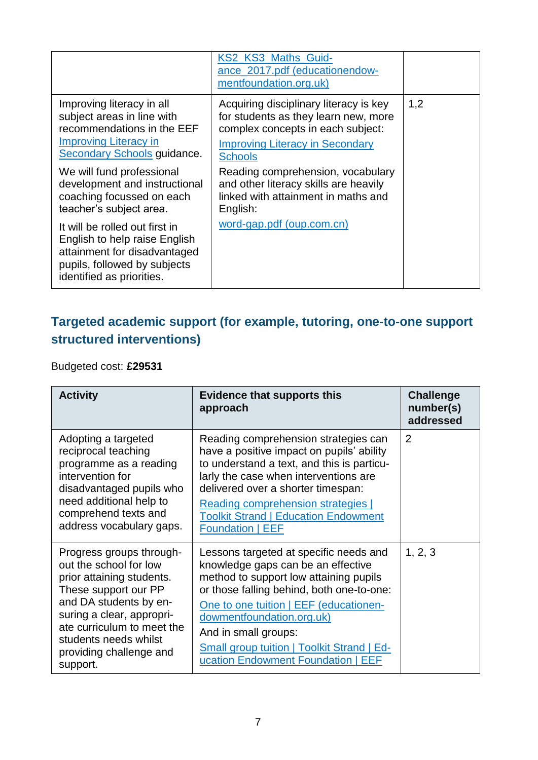|                                                                                                                                                                                                                                                                                                                                                                                                                                                   | KS2 KS3_Maths_Guid-<br>ance_2017.pdf (educationendow-<br>mentfoundation.org.uk)                                                                                                                                                                                                                                                               |     |
|---------------------------------------------------------------------------------------------------------------------------------------------------------------------------------------------------------------------------------------------------------------------------------------------------------------------------------------------------------------------------------------------------------------------------------------------------|-----------------------------------------------------------------------------------------------------------------------------------------------------------------------------------------------------------------------------------------------------------------------------------------------------------------------------------------------|-----|
| Improving literacy in all<br>subject areas in line with<br>recommendations in the EEF<br><b>Improving Literacy in</b><br><b>Secondary Schools guidance.</b><br>We will fund professional<br>development and instructional<br>coaching focussed on each<br>teacher's subject area.<br>It will be rolled out first in<br>English to help raise English<br>attainment for disadvantaged<br>pupils, followed by subjects<br>identified as priorities. | Acquiring disciplinary literacy is key<br>for students as they learn new, more<br>complex concepts in each subject:<br><b>Improving Literacy in Secondary</b><br><b>Schools</b><br>Reading comprehension, vocabulary<br>and other literacy skills are heavily<br>linked with attainment in maths and<br>English:<br>word-gap.pdf (oup.com.cn) | 1,2 |

#### **Targeted academic support (for example, tutoring, one-to-one support structured interventions)**

Budgeted cost: **£29531**

| <b>Activity</b>                                                                                                                                                                                                                                              | <b>Evidence that supports this</b><br>approach                                                                                                                                                                                                                                                                                                                | <b>Challenge</b><br>number(s)<br>addressed |
|--------------------------------------------------------------------------------------------------------------------------------------------------------------------------------------------------------------------------------------------------------------|---------------------------------------------------------------------------------------------------------------------------------------------------------------------------------------------------------------------------------------------------------------------------------------------------------------------------------------------------------------|--------------------------------------------|
| Adopting a targeted<br>reciprocal teaching<br>programme as a reading<br>intervention for<br>disadvantaged pupils who<br>need additional help to<br>comprehend texts and<br>address vocabulary gaps.                                                          | Reading comprehension strategies can<br>have a positive impact on pupils' ability<br>to understand a text, and this is particu-<br>larly the case when interventions are<br>delivered over a shorter timespan:<br><b>Reading comprehension strategies</b><br><b>Toolkit Strand   Education Endowment</b><br><b>Foundation   EEF</b>                           | $\overline{2}$                             |
| Progress groups through-<br>out the school for low<br>prior attaining students.<br>These support our PP<br>and DA students by en-<br>suring a clear, appropri-<br>ate curriculum to meet the<br>students needs whilst<br>providing challenge and<br>support. | Lessons targeted at specific needs and<br>knowledge gaps can be an effective<br>method to support low attaining pupils<br>or those falling behind, both one-to-one:<br>One to one tuition   EEF (educationen-<br>dowmentfoundation.org.uk)<br>And in small groups:<br><b>Small group tuition   Toolkit Strand   Ed-</b><br>ucation Endowment Foundation   EEF | 1, 2, 3                                    |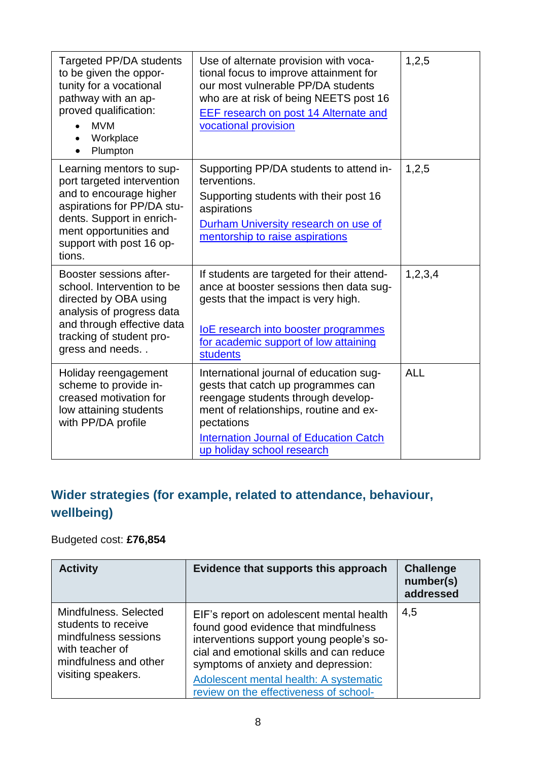| <b>Targeted PP/DA students</b><br>to be given the oppor-<br>tunity for a vocational<br>pathway with an ap-<br>proved qualification:<br><b>MVM</b><br>Workplace<br>Plumpton                                   | Use of alternate provision with voca-<br>tional focus to improve attainment for<br>our most vulnerable PP/DA students<br>who are at risk of being NEETS post 16<br>EEF research on post 14 Alternate and<br>vocational provision                           | 1,2,5      |
|--------------------------------------------------------------------------------------------------------------------------------------------------------------------------------------------------------------|------------------------------------------------------------------------------------------------------------------------------------------------------------------------------------------------------------------------------------------------------------|------------|
| Learning mentors to sup-<br>port targeted intervention<br>and to encourage higher<br>aspirations for PP/DA stu-<br>dents. Support in enrich-<br>ment opportunities and<br>support with post 16 op-<br>tions. | Supporting PP/DA students to attend in-<br>terventions.<br>Supporting students with their post 16<br>aspirations<br>Durham University research on use of<br>mentorship to raise aspirations                                                                | 1,2,5      |
| Booster sessions after-<br>school. Intervention to be<br>directed by OBA using<br>analysis of progress data<br>and through effective data<br>tracking of student pro-<br>gress and needs                     | If students are targeted for their attend-<br>ance at booster sessions then data sug-<br>gests that the impact is very high.<br>loE research into booster programmes<br>for academic support of low attaining<br><b>students</b>                           | 1,2,3,4    |
| Holiday reengagement<br>scheme to provide in-<br>creased motivation for<br>low attaining students<br>with PP/DA profile                                                                                      | International journal of education sug-<br>gests that catch up programmes can<br>reengage students through develop-<br>ment of relationships, routine and ex-<br>pectations<br><b>Internation Journal of Education Catch</b><br>up holiday school research | <b>ALL</b> |

### **Wider strategies (for example, related to attendance, behaviour, wellbeing)**

#### Budgeted cost: **£76,854**

| <b>Activity</b>                                                                                                                        | Evidence that supports this approach                                                                                                                                                                                                                                                                | <b>Challenge</b><br>number(s)<br>addressed |
|----------------------------------------------------------------------------------------------------------------------------------------|-----------------------------------------------------------------------------------------------------------------------------------------------------------------------------------------------------------------------------------------------------------------------------------------------------|--------------------------------------------|
| Mindfulness. Selected<br>students to receive<br>mindfulness sessions<br>with teacher of<br>mindfulness and other<br>visiting speakers. | EIF's report on adolescent mental health<br>found good evidence that mindfulness<br>interventions support young people's so-<br>cial and emotional skills and can reduce<br>symptoms of anxiety and depression:<br>Adolescent mental health: A systematic<br>review on the effectiveness of school- | 4,5                                        |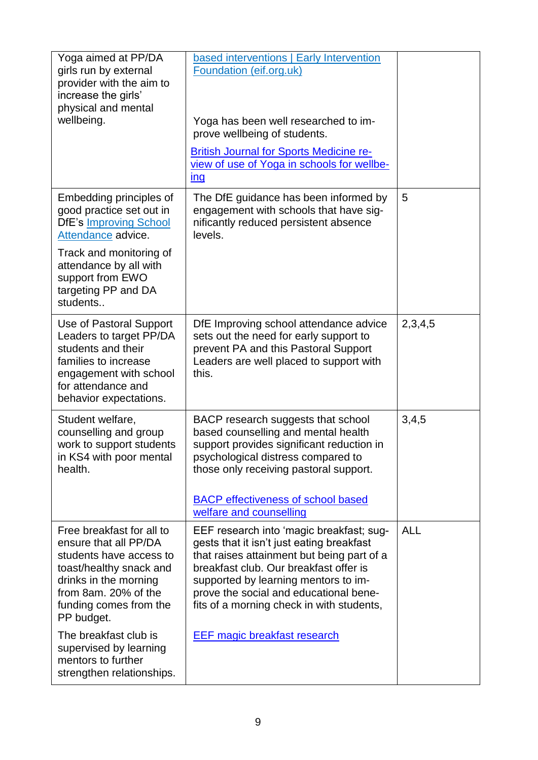| Yoga aimed at PP/DA<br>girls run by external<br>provider with the aim to<br>increase the girls'<br>physical and mental<br>wellbeing.                                                                                                                                                                    | based interventions   Early Intervention<br>Foundation (eif.org.uk)<br>Yoga has been well researched to im-<br>prove wellbeing of students.<br><b>British Journal for Sports Medicine re-</b><br>view of use of Yoga in schools for wellbe-<br>ing                                                                                                  |            |
|---------------------------------------------------------------------------------------------------------------------------------------------------------------------------------------------------------------------------------------------------------------------------------------------------------|-----------------------------------------------------------------------------------------------------------------------------------------------------------------------------------------------------------------------------------------------------------------------------------------------------------------------------------------------------|------------|
| Embedding principles of<br>good practice set out in<br><b>DfE's Improving School</b><br>Attendance advice.<br>Track and monitoring of<br>attendance by all with<br>support from EWO<br>targeting PP and DA<br>students                                                                                  | The DfE guidance has been informed by<br>engagement with schools that have sig-<br>nificantly reduced persistent absence<br>levels.                                                                                                                                                                                                                 | 5          |
| Use of Pastoral Support<br>Leaders to target PP/DA<br>students and their<br>families to increase<br>engagement with school<br>for attendance and<br>behavior expectations.                                                                                                                              | DfE Improving school attendance advice<br>sets out the need for early support to<br>prevent PA and this Pastoral Support<br>Leaders are well placed to support with<br>this.                                                                                                                                                                        | 2,3,4,5    |
| Student welfare,<br>counselling and group<br>work to support students<br>in KS4 with poor mental<br>health.                                                                                                                                                                                             | BACP research suggests that school<br>based counselling and mental health<br>support provides significant reduction in<br>psychological distress compared to<br>those only receiving pastoral support.<br><b>BACP</b> effectiveness of school based<br>welfare and counselling                                                                      | 3,4,5      |
| Free breakfast for all to<br>ensure that all PP/DA<br>students have access to<br>toast/healthy snack and<br>drinks in the morning<br>from 8am. 20% of the<br>funding comes from the<br>PP budget.<br>The breakfast club is<br>supervised by learning<br>mentors to further<br>strengthen relationships. | EEF research into 'magic breakfast; sug-<br>gests that it isn't just eating breakfast<br>that raises attainment but being part of a<br>breakfast club. Our breakfast offer is<br>supported by learning mentors to im-<br>prove the social and educational bene-<br>fits of a morning check in with students,<br><b>EEF magic breakfast research</b> | <b>ALL</b> |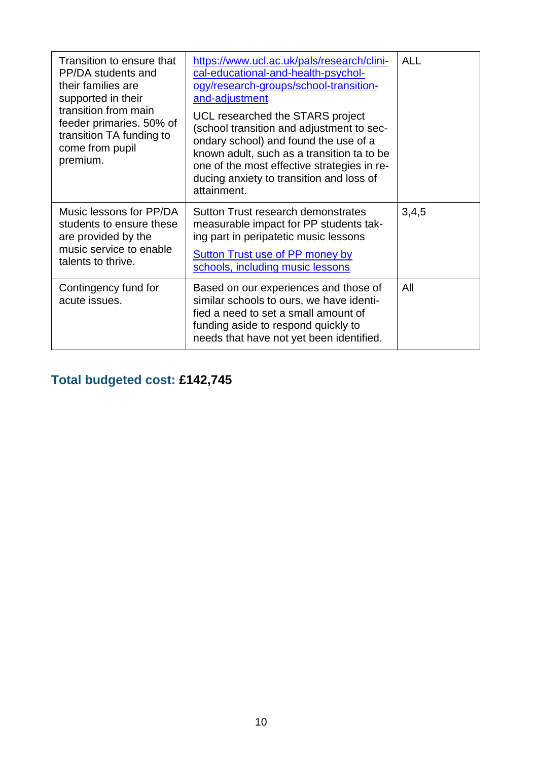| Transition to ensure that<br>PP/DA students and<br>their families are<br>supported in their<br>transition from main<br>feeder primaries. 50% of<br>transition TA funding to<br>come from pupil<br>premium. | https://www.ucl.ac.uk/pals/research/clini-<br>cal-educational-and-health-psychol-<br>ogy/research-groups/school-transition-<br>and-adjustment<br>UCL researched the STARS project<br>(school transition and adjustment to sec-<br>ondary school) and found the use of a<br>known adult, such as a transition ta to be<br>one of the most effective strategies in re-<br>ducing anxiety to transition and loss of<br>attainment. | <b>ALL</b> |
|------------------------------------------------------------------------------------------------------------------------------------------------------------------------------------------------------------|---------------------------------------------------------------------------------------------------------------------------------------------------------------------------------------------------------------------------------------------------------------------------------------------------------------------------------------------------------------------------------------------------------------------------------|------------|
| Music lessons for PP/DA<br>students to ensure these<br>are provided by the<br>music service to enable<br>talents to thrive.                                                                                | Sutton Trust research demonstrates<br>measurable impact for PP students tak-<br>ing part in peripatetic music lessons<br><b>Sutton Trust use of PP money by</b><br>schools, including music lessons                                                                                                                                                                                                                             | 3,4,5      |
| Contingency fund for<br>acute issues.                                                                                                                                                                      | Based on our experiences and those of<br>similar schools to ours, we have identi-<br>fied a need to set a small amount of<br>funding aside to respond quickly to<br>needs that have not yet been identified.                                                                                                                                                                                                                    | All        |

## **Total budgeted cost: £142,745**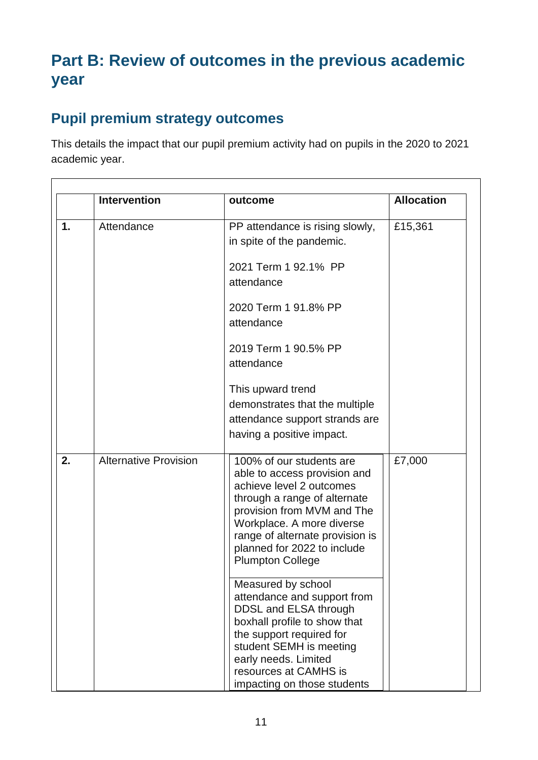# **Part B: Review of outcomes in the previous academic year**

### **Pupil premium strategy outcomes**

This details the impact that our pupil premium activity had on pupils in the 2020 to 2021 academic year.

|                | <b>Intervention</b>          | outcome                                                                                                                                                                                                                                                                      | <b>Allocation</b> |
|----------------|------------------------------|------------------------------------------------------------------------------------------------------------------------------------------------------------------------------------------------------------------------------------------------------------------------------|-------------------|
| $\mathbf{1}$ . | Attendance                   | PP attendance is rising slowly,<br>in spite of the pandemic.                                                                                                                                                                                                                 | £15,361           |
|                |                              | 2021 Term 1 92.1% PP<br>attendance                                                                                                                                                                                                                                           |                   |
|                |                              | 2020 Term 1 91.8% PP<br>attendance                                                                                                                                                                                                                                           |                   |
|                |                              | 2019 Term 1 90.5% PP<br>attendance                                                                                                                                                                                                                                           |                   |
|                |                              | This upward trend<br>demonstrates that the multiple<br>attendance support strands are<br>having a positive impact.                                                                                                                                                           |                   |
| 2.             | <b>Alternative Provision</b> | 100% of our students are<br>able to access provision and<br>achieve level 2 outcomes<br>through a range of alternate<br>provision from MVM and The<br>Workplace. A more diverse<br>range of alternate provision is<br>planned for 2022 to include<br><b>Plumpton College</b> | £7,000            |
|                |                              | Measured by school<br>attendance and support from<br>DDSL and ELSA through<br>boxhall profile to show that<br>the support required for<br>student SEMH is meeting<br>early needs. Limited<br>resources at CAMHS is<br>impacting on those students                            |                   |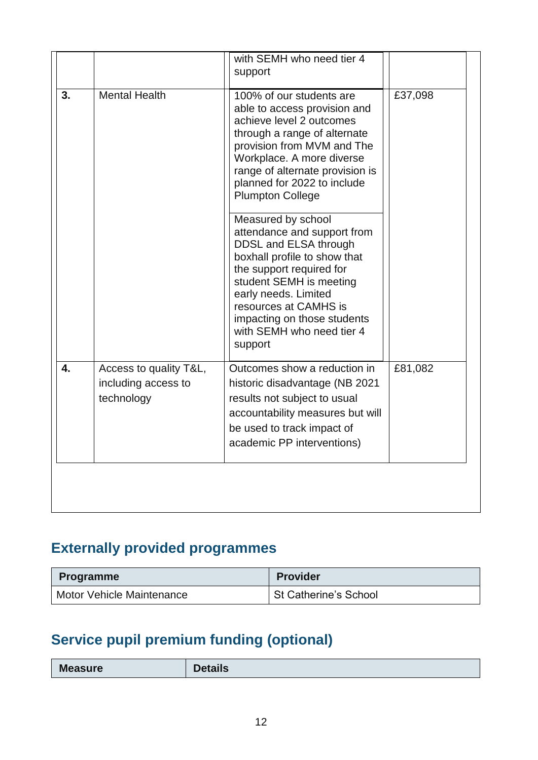|    |                                                             | with SEMH who need tier 4<br>support                                                                                                                                                                                                                                                      |         |
|----|-------------------------------------------------------------|-------------------------------------------------------------------------------------------------------------------------------------------------------------------------------------------------------------------------------------------------------------------------------------------|---------|
| 3. | <b>Mental Health</b>                                        | 100% of our students are<br>able to access provision and<br>achieve level 2 outcomes<br>through a range of alternate<br>provision from MVM and The<br>Workplace. A more diverse<br>range of alternate provision is<br>planned for 2022 to include<br><b>Plumpton College</b>              | £37,098 |
|    |                                                             | Measured by school<br>attendance and support from<br>DDSL and ELSA through<br>boxhall profile to show that<br>the support required for<br>student SEMH is meeting<br>early needs. Limited<br>resources at CAMHS is<br>impacting on those students<br>with SEMH who need tier 4<br>support |         |
| 4. | Access to quality T&L,<br>including access to<br>technology | Outcomes show a reduction in<br>historic disadvantage (NB 2021<br>results not subject to usual<br>accountability measures but will<br>be used to track impact of<br>academic PP interventions)                                                                                            | £81,082 |
|    |                                                             |                                                                                                                                                                                                                                                                                           |         |

## **Externally provided programmes**

| <b>Programme</b>          | <b>Provider</b>       |
|---------------------------|-----------------------|
| Motor Vehicle Maintenance | St Catherine's School |

# **Service pupil premium funding (optional)**

| <b>Measure</b> | etails |
|----------------|--------|
|----------------|--------|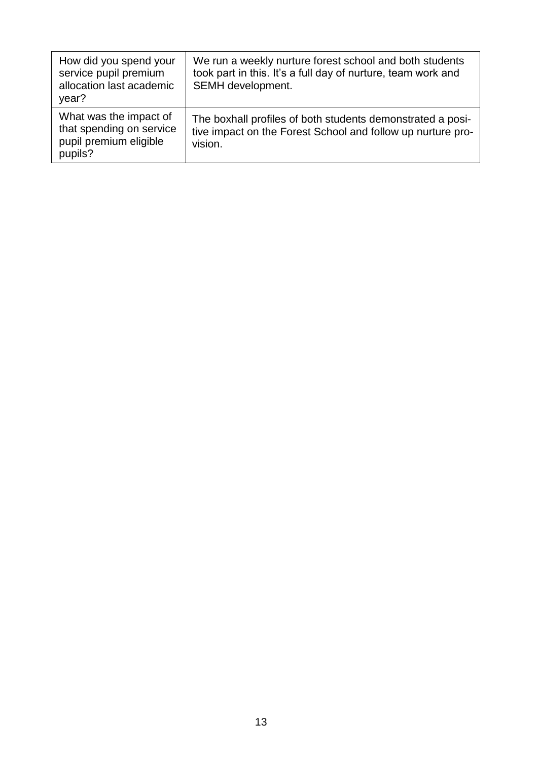| How did you spend your<br>service pupil premium<br>allocation last academic<br>year?    | We run a weekly nurture forest school and both students<br>took part in this. It's a full day of nurture, team work and<br>SEMH development. |
|-----------------------------------------------------------------------------------------|----------------------------------------------------------------------------------------------------------------------------------------------|
| What was the impact of<br>that spending on service<br>pupil premium eligible<br>pupils? | The boxhall profiles of both students demonstrated a posi-<br>tive impact on the Forest School and follow up nurture pro-<br>vision.         |